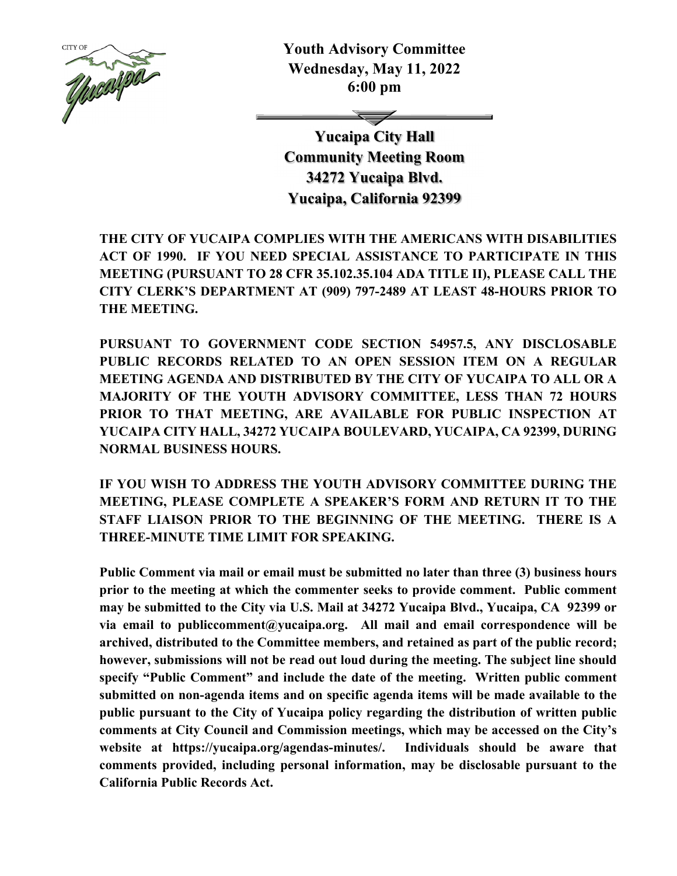

**Youth Advisory Committee Wednesday, May 11, 2022 6:00 pm** 

**Yucaipa City Hall Community Meeting Room 34272 Yucaipa Blvd. Yucaipa, California 92399** 

**THE CITY OF YUCAIPA COMPLIES WITH THE AMERICANS WITH DISABILITIES ACT OF 1990. IF YOU NEED SPECIAL ASSISTANCE TO PARTICIPATE IN THIS MEETING (PURSUANT TO 28 CFR 35.102.35.104 ADA TITLE II), PLEASE CALL THE CITY CLERK'S DEPARTMENT AT (909) 797-2489 AT LEAST 48-HOURS PRIOR TO THE MEETING.** 

**PURSUANT TO GOVERNMENT CODE SECTION 54957.5, ANY DISCLOSABLE PUBLIC RECORDS RELATED TO AN OPEN SESSION ITEM ON A REGULAR MEETING AGENDA AND DISTRIBUTED BY THE CITY OF YUCAIPA TO ALL OR A MAJORITY OF THE YOUTH ADVISORY COMMITTEE, LESS THAN 72 HOURS PRIOR TO THAT MEETING, ARE AVAILABLE FOR PUBLIC INSPECTION AT YUCAIPA CITY HALL, 34272 YUCAIPA BOULEVARD, YUCAIPA, CA 92399, DURING NORMAL BUSINESS HOURS.** 

**IF YOU WISH TO ADDRESS THE YOUTH ADVISORY COMMITTEE DURING THE MEETING, PLEASE COMPLETE A SPEAKER'S FORM AND RETURN IT TO THE STAFF LIAISON PRIOR TO THE BEGINNING OF THE MEETING. THERE IS A THREE-MINUTE TIME LIMIT FOR SPEAKING.** 

**Public Comment via mail or email must be submitted no later than three (3) business hours prior to the meeting at which the commenter seeks to provide comment. Public comment may be submitted to the City via U.S. Mail at 34272 Yucaipa Blvd., Yucaipa, CA 92399 or via email to publiccomment@yucaipa.org. All mail and email correspondence will be archived, distributed to the Committee members, and retained as part of the public record; however, submissions will not be read out loud during the meeting. The subject line should specify "Public Comment" and include the date of the meeting. Written public comment submitted on non-agenda items and on specific agenda items will be made available to the public pursuant to the City of Yucaipa policy regarding the distribution of written public comments at City Council and Commission meetings, which may be accessed on the City's website at https://yucaipa.org/agendas-minutes/. Individuals should be aware that comments provided, including personal information, may be disclosable pursuant to the California Public Records Act.**